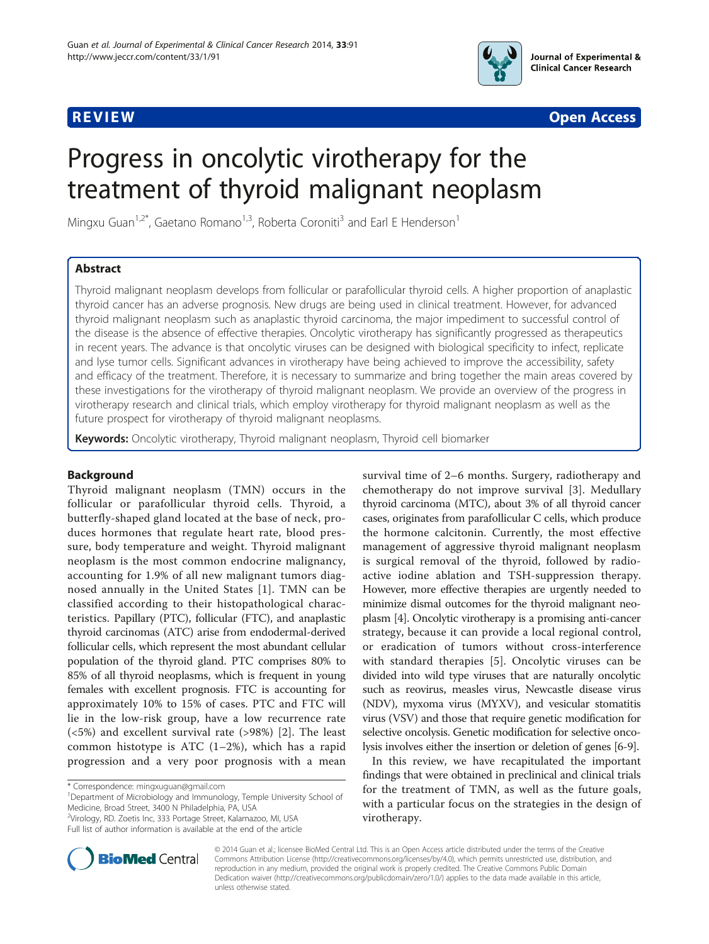

# **REVIEW CONSTRUCTION CONSTRUCTION CONSTRUCTION CONSTRUCTS**

# Progress in oncolytic virotherapy for the treatment of thyroid malignant neoplasm

Mingxu Guan<sup>1,2\*</sup>, Gaetano Romano<sup>1,3</sup>, Roberta Coroniti<sup>3</sup> and Earl E Henderson<sup>1</sup>

## Abstract

Thyroid malignant neoplasm develops from follicular or parafollicular thyroid cells. A higher proportion of anaplastic thyroid cancer has an adverse prognosis. New drugs are being used in clinical treatment. However, for advanced thyroid malignant neoplasm such as anaplastic thyroid carcinoma, the major impediment to successful control of the disease is the absence of effective therapies. Oncolytic virotherapy has significantly progressed as therapeutics in recent years. The advance is that oncolytic viruses can be designed with biological specificity to infect, replicate and lyse tumor cells. Significant advances in virotherapy have being achieved to improve the accessibility, safety and efficacy of the treatment. Therefore, it is necessary to summarize and bring together the main areas covered by these investigations for the virotherapy of thyroid malignant neoplasm. We provide an overview of the progress in virotherapy research and clinical trials, which employ virotherapy for thyroid malignant neoplasm as well as the future prospect for virotherapy of thyroid malignant neoplasms.

Keywords: Oncolytic virotherapy, Thyroid malignant neoplasm, Thyroid cell biomarker

## Background

Thyroid malignant neoplasm (TMN) occurs in the follicular or parafollicular thyroid cells. Thyroid, a butterfly-shaped gland located at the base of neck, produces hormones that regulate heart rate, blood pressure, body temperature and weight. Thyroid malignant neoplasm is the most common endocrine malignancy, accounting for 1.9% of all new malignant tumors diagnosed annually in the United States [[1](#page-7-0)]. TMN can be classified according to their histopathological characteristics. Papillary (PTC), follicular (FTC), and anaplastic thyroid carcinomas (ATC) arise from endodermal-derived follicular cells, which represent the most abundant cellular population of the thyroid gland. PTC comprises 80% to 85% of all thyroid neoplasms, which is frequent in young females with excellent prognosis. FTC is accounting for approximately 10% to 15% of cases. PTC and FTC will lie in the low-risk group, have a low recurrence rate  $(<5\%)$  and excellent survival rate  $(>98\%)$  [[2](#page-7-0)]. The least common histotype is ATC (1–2%), which has a rapid progression and a very poor prognosis with a mean

\* Correspondence: [mingxuguan@gmail.com](mailto:mingxuguan@gmail.com) <sup>1</sup>

Department of Microbiology and Immunology, Temple University School of Medicine, Broad Street, 3400 N Philadelphia, PA, USA

2 Virology, RD. Zoetis Inc, 333 Portage Street, Kalamazoo, MI, USA

Full list of author information is available at the end of the article



In this review, we have recapitulated the important findings that were obtained in preclinical and clinical trials for the treatment of TMN, as well as the future goals, with a particular focus on the strategies in the design of virotherapy.



© 2014 Guan et al.; licensee BioMed Central Ltd. This is an Open Access article distributed under the terms of the Creative Commons Attribution License (http://creativecommons.org/licenses/by/4.0), which permits unrestricted use, distribution, and reproduction in any medium, provided the original work is properly credited. The Creative Commons Public Domain Dedication waiver (http://creativecommons.org/publicdomain/zero/1.0/) applies to the data made available in this article, unless otherwise stated.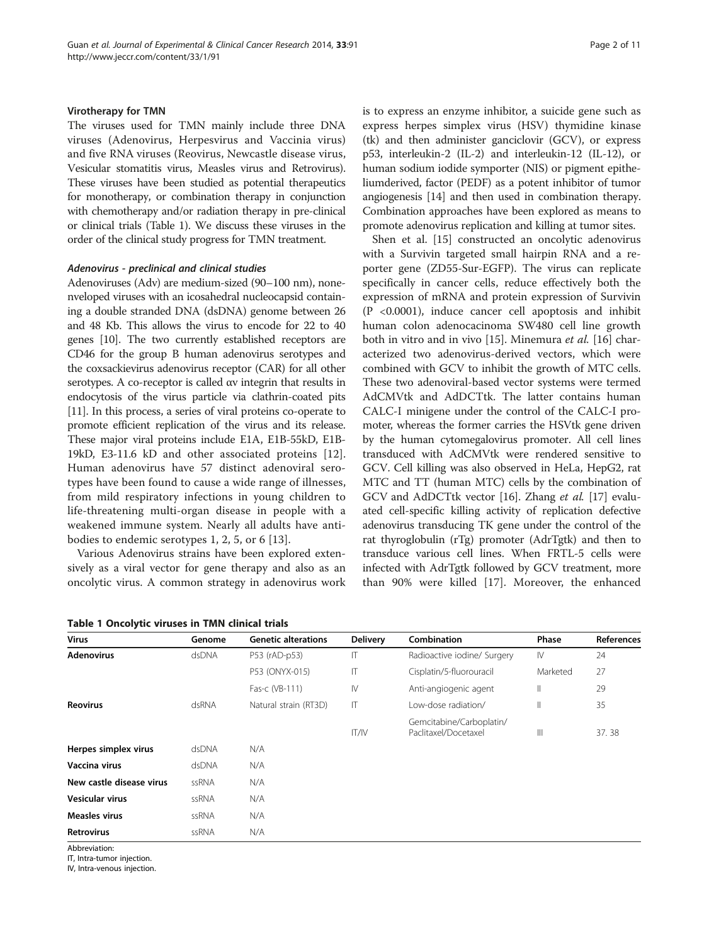The viruses used for TMN mainly include three DNA viruses (Adenovirus, Herpesvirus and Vaccinia virus) and five RNA viruses (Reovirus, Newcastle disease virus, Vesicular stomatitis virus, Measles virus and Retrovirus). These viruses have been studied as potential therapeutics for monotherapy, or combination therapy in conjunction with chemotherapy and/or radiation therapy in pre-clinical or clinical trials (Table 1). We discuss these viruses in the order of the clinical study progress for TMN treatment.

#### Adenovirus - preclinical and clinical studies

Adenoviruses (Adv) are medium-sized (90–100 nm), nonenveloped viruses with an icosahedral nucleocapsid containing a double stranded DNA (dsDNA) genome between 26 and 48 Kb. This allows the virus to encode for 22 to 40 genes [\[10](#page-7-0)]. The two currently established receptors are CD46 for the group B human adenovirus serotypes and the coxsackievirus adenovirus receptor (CAR) for all other serotypes. A co-receptor is called αv integrin that results in endocytosis of the virus particle via clathrin-coated pits [[11](#page-7-0)]. In this process, a series of viral proteins co-operate to promote efficient replication of the virus and its release. These major viral proteins include E1A, E1B-55kD, E1B-19kD, E3-11.6 kD and other associated proteins [[12](#page-7-0)]. Human adenovirus have 57 distinct adenoviral serotypes have been found to cause a wide range of illnesses, from mild respiratory infections in young children to life-threatening multi-organ disease in people with a weakened immune system. Nearly all adults have antibodies to endemic serotypes 1, 2, 5, or 6 [[13\]](#page-7-0).

Various Adenovirus strains have been explored extensively as a viral vector for gene therapy and also as an oncolytic virus. A common strategy in adenovirus work is to express an enzyme inhibitor, a suicide gene such as express herpes simplex virus (tk) and then administer ganciclovir (GCV), or express p53, interleukin-2 (IL-2) and interleukin-12 (IL-12), or human sodium iodide symporter (NIS) or pigment epitheliumderived, factor (PEDF) as a potent inhibitor of tumor angiogenesis [[14](#page-8-0)] and then used in combination therapy. Combination approaches have been explored as means to promote adenovirus replication and killing at tumor sites.

Shen et al. [\[15\]](#page-8-0) constructed an oncolytic adenovirus with a Survivin targeted small hairpin RNA and a reporter gene (ZD55-Sur-EGFP). The virus can replicate specifically in cancer cells, reduce effectively both the expression of mRNA and protein expression of Survivin (P <0.0001), induce cancer cell apoptosis and inhibit human colon adenocacinoma SW480 cell line growth both in vitro and in vivo [[15\]](#page-8-0). Minemura et al. [[16](#page-8-0)] characterized two adenovirus-derived vectors, which were combined with GCV to inhibit the growth of MTC cells. These two adenoviral-based vector systems were termed AdCMVtk and AdDCTtk. The latter contains human CALC-I minigene under the control of the CALC-I promoter, whereas the former carries the HSVtk gene driven by the human cytomegalovirus promoter. All cell lines transduced with AdCMVtk were rendered sensitive to GCV. Cell killing was also observed in HeLa, HepG2, rat MTC and TT (human MTC) cells by the combination of GCV and AdDCTtk vector [[16](#page-8-0)]. Zhang et al. [[17](#page-8-0)] evaluated cell-specific killing activity of replication defective adenovirus transducing TK gene under the control of the rat thyroglobulin (rTg) promoter (AdrTgtk) and then to transduce various cell lines. When FRTL-5 cells were infected with AdrTgtk followed by GCV treatment, more than 90% were killed [[17\]](#page-8-0). Moreover, the enhanced

| <b>Virus</b>             | Genome | <b>Genetic alterations</b> | <b>Delivery</b> | Combination                                      | Phase        | References |
|--------------------------|--------|----------------------------|-----------------|--------------------------------------------------|--------------|------------|
| <b>Adenovirus</b>        | dsDNA  | P53 (rAD-p53)              | IT              | Radioactive iodine/ Surgery                      | $\mathbb{N}$ | 24         |
|                          |        | P53 (ONYX-015)             | $\mathsf{I}$    | Cisplatin/5-fluorouracil                         | Marketed     | 27         |
|                          |        | Fas-c (VB-111)             | $\mathsf{IV}$   | Anti-angiogenic agent                            | Ш            | 29         |
| <b>Reovirus</b>          | dsRNA  | Natural strain (RT3D)      | $\mathsf{I}$    | Low-dose radiation/                              | Ш            | 35         |
|                          |        |                            | IT/IV           | Gemcitabine/Carboplatin/<br>Paclitaxel/Docetaxel | $\mathbb{H}$ | 37.38      |
| Herpes simplex virus     | dsDNA  | N/A                        |                 |                                                  |              |            |
| Vaccina virus            | dsDNA  | N/A                        |                 |                                                  |              |            |
| New castle disease virus | ssRNA  | N/A                        |                 |                                                  |              |            |
| <b>Vesicular virus</b>   | ssRNA  | N/A                        |                 |                                                  |              |            |
| <b>Measles virus</b>     | ssRNA  | N/A                        |                 |                                                  |              |            |
| <b>Retrovirus</b>        | ssRNA  | N/A                        |                 |                                                  |              |            |

Table 1 Oncolytic viruses in TMN clinical trials

Abbreviation:

IT, Intra-tumor injection.

IV, Intra-venous injection.

| tor, a suicide gelle such as |  |
|------------------------------|--|
| (HSV) thymidine kinase       |  |
|                              |  |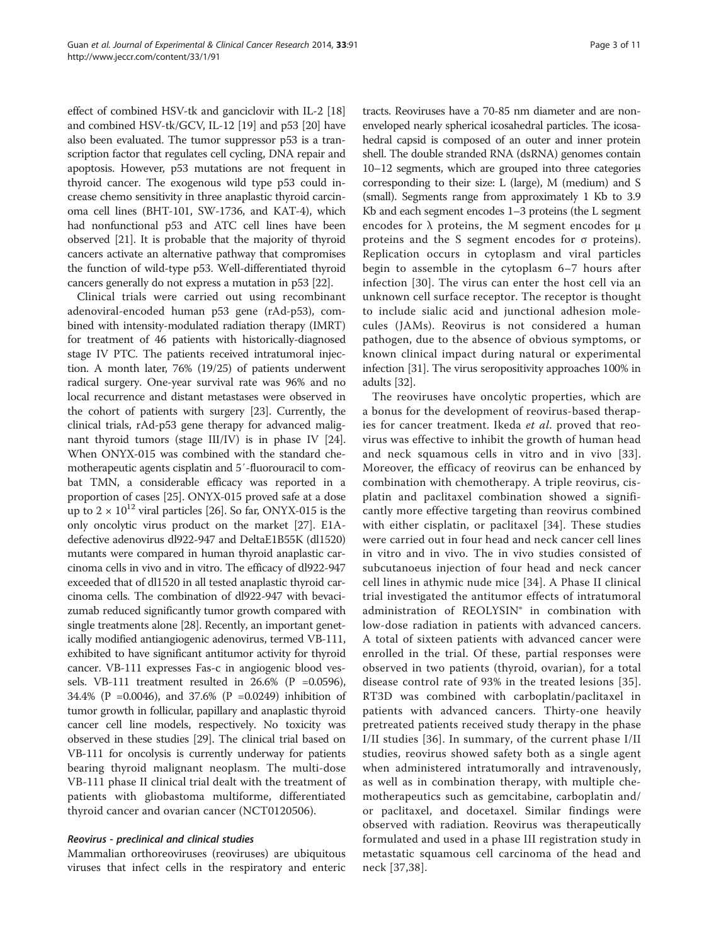effect of combined HSV-tk and ganciclovir with IL-2 [[18](#page-8-0)] and combined HSV-tk/GCV, IL-12 [[19](#page-8-0)] and p53 [[20](#page-8-0)] have also been evaluated. The tumor suppressor p53 is a transcription factor that regulates cell cycling, DNA repair and apoptosis. However, p53 mutations are not frequent in thyroid cancer. The exogenous wild type p53 could increase chemo sensitivity in three anaplastic thyroid carcinoma cell lines (BHT-101, SW-1736, and KAT-4), which had nonfunctional p53 and ATC cell lines have been observed [\[21](#page-8-0)]. It is probable that the majority of thyroid cancers activate an alternative pathway that compromises the function of wild-type p53. Well-differentiated thyroid cancers generally do not express a mutation in p53 [\[22\]](#page-8-0).

Clinical trials were carried out using recombinant adenoviral-encoded human p53 gene (rAd-p53), combined with intensity-modulated radiation therapy (IMRT) for treatment of 46 patients with historically-diagnosed stage IV PTC. The patients received intratumoral injection. A month later, 76% (19/25) of patients underwent radical surgery. One-year survival rate was 96% and no local recurrence and distant metastases were observed in the cohort of patients with surgery [\[23\]](#page-8-0). Currently, the clinical trials, rAd-p53 gene therapy for advanced malignant thyroid tumors (stage III/IV) is in phase IV [[24](#page-8-0)]. When ONYX-015 was combined with the standard chemotherapeutic agents cisplatin and 5′-fluorouracil to combat TMN, a considerable efficacy was reported in a proportion of cases [\[25\]](#page-8-0). ONYX-015 proved safe at a dose up to  $2 \times 10^{12}$  viral particles [[26](#page-8-0)]. So far, ONYX-015 is the only oncolytic virus product on the market [\[27\]](#page-8-0). E1Adefective adenovirus dl922-947 and DeltaE1B55K (dl1520) mutants were compared in human thyroid anaplastic carcinoma cells in vivo and in vitro. The efficacy of dl922-947 exceeded that of dl1520 in all tested anaplastic thyroid carcinoma cells. The combination of dl922-947 with bevacizumab reduced significantly tumor growth compared with single treatments alone [[28](#page-8-0)]. Recently, an important genetically modified antiangiogenic adenovirus, termed VB-111, exhibited to have significant antitumor activity for thyroid cancer. VB-111 expresses Fas-c in angiogenic blood vessels. VB-111 treatment resulted in 26.6% ( $P = 0.0596$ ), 34.4% (P =0.0046), and 37.6% (P =0.0249) inhibition of tumor growth in follicular, papillary and anaplastic thyroid cancer cell line models, respectively. No toxicity was observed in these studies [\[29](#page-8-0)]. The clinical trial based on VB-111 for oncolysis is currently underway for patients bearing thyroid malignant neoplasm. The multi-dose VB-111 phase II clinical trial dealt with the treatment of patients with gliobastoma multiforme, differentiated thyroid cancer and ovarian cancer (NCT0120506).

## Reovirus - preclinical and clinical studies

Mammalian orthoreoviruses (reoviruses) are ubiquitous viruses that infect cells in the respiratory and enteric tracts. Reoviruses have a 70-85 nm diameter and are nonenveloped nearly spherical icosahedral particles. The icosahedral capsid is composed of an outer and inner protein shell. The double stranded RNA (dsRNA) genomes contain 10–12 segments, which are grouped into three categories corresponding to their size: L (large), M (medium) and S (small). Segments range from approximately 1 Kb to 3.9 Kb and each segment encodes 1–3 proteins (the L segment encodes for  $\lambda$  proteins, the M segment encodes for  $\mu$ proteins and the S segment encodes for σ proteins). Replication occurs in cytoplasm and viral particles begin to assemble in the cytoplasm 6–7 hours after infection [\[30](#page-8-0)]. The virus can enter the host cell via an unknown cell surface receptor. The receptor is thought to include sialic acid and junctional adhesion molecules (JAMs). Reovirus is not considered a human pathogen, due to the absence of obvious symptoms, or known clinical impact during natural or experimental infection [[31](#page-8-0)]. The virus seropositivity approaches 100% in adults [\[32](#page-8-0)].

The reoviruses have oncolytic properties, which are a bonus for the development of reovirus-based therapies for cancer treatment. Ikeda et al. proved that reovirus was effective to inhibit the growth of human head and neck squamous cells in vitro and in vivo [[33](#page-8-0)]. Moreover, the efficacy of reovirus can be enhanced by combination with chemotherapy. A triple reovirus, cisplatin and paclitaxel combination showed a significantly more effective targeting than reovirus combined with either cisplatin, or paclitaxel [[34\]](#page-8-0). These studies were carried out in four head and neck cancer cell lines in vitro and in vivo. The in vivo studies consisted of subcutanoeus injection of four head and neck cancer cell lines in athymic nude mice [[34\]](#page-8-0). A Phase II clinical trial investigated the antitumor effects of intratumoral administration of REOLYSIN® in combination with low-dose radiation in patients with advanced cancers. A total of sixteen patients with advanced cancer were enrolled in the trial. Of these, partial responses were observed in two patients (thyroid, ovarian), for a total disease control rate of 93% in the treated lesions [[35](#page-8-0)]. RT3D was combined with carboplatin/paclitaxel in patients with advanced cancers. Thirty-one heavily pretreated patients received study therapy in the phase I/II studies [\[36](#page-8-0)]. In summary, of the current phase I/II studies, reovirus showed safety both as a single agent when administered intratumorally and intravenously, as well as in combination therapy, with multiple chemotherapeutics such as gemcitabine, carboplatin and/ or paclitaxel, and docetaxel. Similar findings were observed with radiation. Reovirus was therapeutically formulated and used in a phase III registration study in metastatic squamous cell carcinoma of the head and neck [[37,38](#page-8-0)].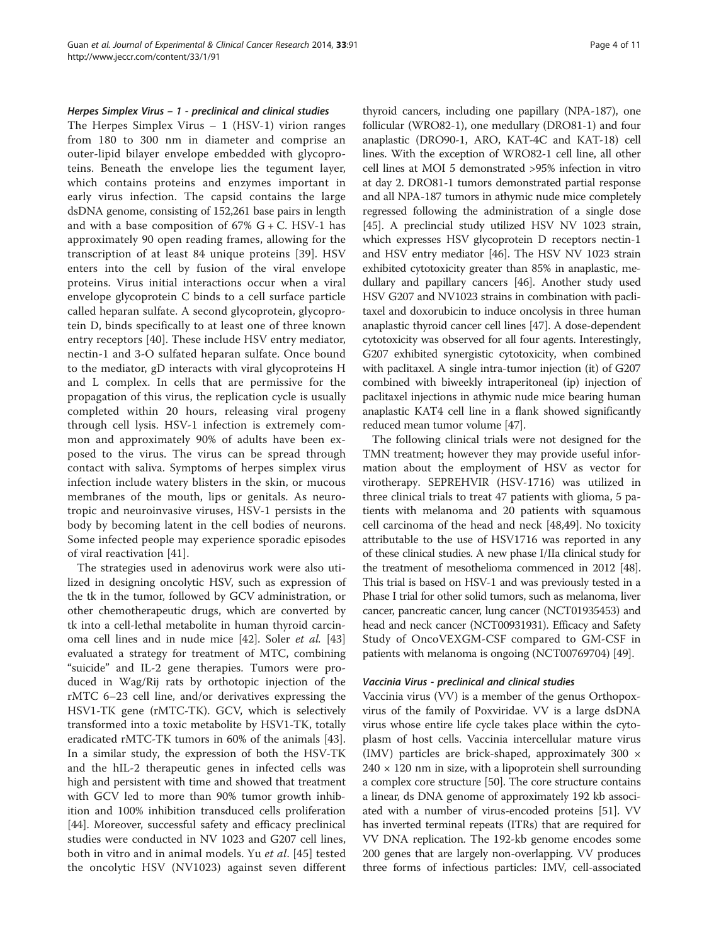#### Herpes Simplex Virus – 1 - preclinical and clinical studies

The Herpes Simplex Virus – 1 (HSV-1) virion ranges from 180 to 300 nm in diameter and comprise an outer-lipid bilayer envelope embedded with glycoproteins. Beneath the envelope lies the tegument layer, which contains proteins and enzymes important in early virus infection. The capsid contains the large dsDNA genome, consisting of 152,261 base pairs in length and with a base composition of  $67\%$  G + C. HSV-1 has approximately 90 open reading frames, allowing for the transcription of at least 84 unique proteins [\[39](#page-8-0)]. HSV enters into the cell by fusion of the viral envelope proteins. Virus initial interactions occur when a viral envelope glycoprotein C binds to a cell surface particle called heparan sulfate. A second glycoprotein, glycoprotein D, binds specifically to at least one of three known entry receptors [[40\]](#page-8-0). These include HSV entry mediator, nectin-1 and 3-O sulfated heparan sulfate. Once bound to the mediator, gD interacts with viral glycoproteins H and L complex. In cells that are permissive for the propagation of this virus, the replication cycle is usually completed within 20 hours, releasing viral progeny through cell lysis. HSV-1 infection is extremely common and approximately 90% of adults have been exposed to the virus. The virus can be spread through contact with saliva. Symptoms of herpes simplex virus infection include watery blisters in the skin, or mucous membranes of the mouth, lips or genitals. As neurotropic and neuroinvasive viruses, HSV-1 persists in the body by becoming latent in the cell bodies of neurons. Some infected people may experience sporadic episodes of viral reactivation [[41\]](#page-8-0).

The strategies used in adenovirus work were also utilized in designing oncolytic HSV, such as expression of the tk in the tumor, followed by GCV administration, or other chemotherapeutic drugs, which are converted by tk into a cell-lethal metabolite in human thyroid carcinoma cell lines and in nude mice [[42](#page-8-0)]. Soler et al. [[43](#page-8-0)] evaluated a strategy for treatment of MTC, combining "suicide" and IL-2 gene therapies. Tumors were produced in Wag/Rij rats by orthotopic injection of the rMTC 6–23 cell line, and/or derivatives expressing the HSV1-TK gene (rMTC-TK). GCV, which is selectively transformed into a toxic metabolite by HSV1-TK, totally eradicated rMTC-TK tumors in 60% of the animals [\[43](#page-8-0)]. In a similar study, the expression of both the HSV-TK and the hIL-2 therapeutic genes in infected cells was high and persistent with time and showed that treatment with GCV led to more than 90% tumor growth inhibition and 100% inhibition transduced cells proliferation [[44\]](#page-8-0). Moreover, successful safety and efficacy preclinical studies were conducted in NV 1023 and G207 cell lines, both in vitro and in animal models. Yu et al. [\[45\]](#page-8-0) tested the oncolytic HSV (NV1023) against seven different

thyroid cancers, including one papillary (NPA-187), one follicular (WRO82-1), one medullary (DRO81-1) and four anaplastic (DRO90-1, ARO, KAT-4C and KAT-18) cell lines. With the exception of WRO82-1 cell line, all other cell lines at MOI 5 demonstrated >95% infection in vitro at day 2. DRO81-1 tumors demonstrated partial response and all NPA-187 tumors in athymic nude mice completely regressed following the administration of a single dose [[45](#page-8-0)]. A preclincial study utilized HSV NV 1023 strain, which expresses HSV glycoprotein D receptors nectin-1 and HSV entry mediator [[46](#page-8-0)]. The HSV NV 1023 strain exhibited cytotoxicity greater than 85% in anaplastic, medullary and papillary cancers [[46](#page-8-0)]. Another study used HSV G207 and NV1023 strains in combination with paclitaxel and doxorubicin to induce oncolysis in three human anaplastic thyroid cancer cell lines [[47](#page-8-0)]. A dose-dependent cytotoxicity was observed for all four agents. Interestingly, G207 exhibited synergistic cytotoxicity, when combined with paclitaxel. A single intra-tumor injection (it) of G207 combined with biweekly intraperitoneal (ip) injection of paclitaxel injections in athymic nude mice bearing human anaplastic KAT4 cell line in a flank showed significantly reduced mean tumor volume [\[47\]](#page-8-0).

The following clinical trials were not designed for the TMN treatment; however they may provide useful information about the employment of HSV as vector for virotherapy. SEPREHVIR (HSV-1716) was utilized in three clinical trials to treat 47 patients with glioma, 5 patients with melanoma and 20 patients with squamous cell carcinoma of the head and neck [\[48,49\]](#page-8-0). No toxicity attributable to the use of HSV1716 was reported in any of these clinical studies. A new phase I/IIa clinical study for the treatment of mesothelioma commenced in 2012 [\[48](#page-8-0)]. This trial is based on HSV-1 and was previously tested in a Phase I trial for other solid tumors, such as melanoma, liver cancer, pancreatic cancer, lung cancer (NCT01935453) and head and neck cancer (NCT00931931). Efficacy and Safety Study of OncoVEXGM-CSF compared to GM-CSF in patients with melanoma is ongoing (NCT00769704) [\[49\]](#page-8-0).

## Vaccinia Virus - preclinical and clinical studies

Vaccinia virus (VV) is a member of the genus Orthopoxvirus of the family of Poxviridae. VV is a large dsDNA virus whose entire life cycle takes place within the cytoplasm of host cells. Vaccinia intercellular mature virus (IMV) particles are brick-shaped, approximately 300 ×  $240 \times 120$  nm in size, with a lipoprotein shell surrounding a complex core structure [\[50\]](#page-8-0). The core structure contains a linear, ds DNA genome of approximately 192 kb associated with a number of virus-encoded proteins [\[51\]](#page-8-0). VV has inverted terminal repeats (ITRs) that are required for VV DNA replication. The 192-kb genome encodes some 200 genes that are largely non-overlapping. VV produces three forms of infectious particles: IMV, cell-associated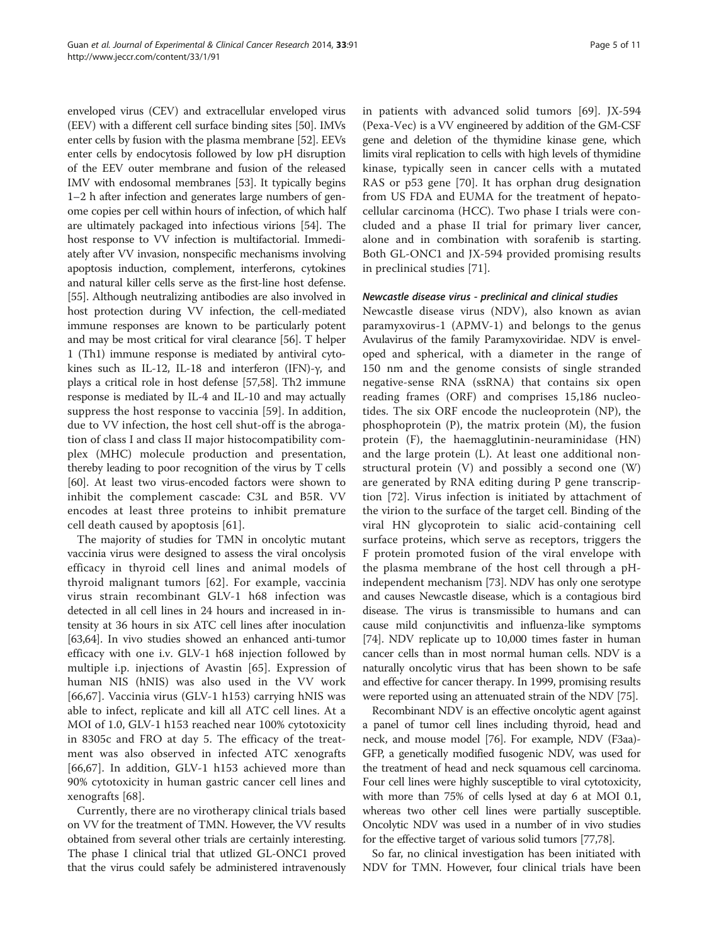enveloped virus (CEV) and extracellular enveloped virus (EEV) with a different cell surface binding sites [\[50\]](#page-8-0). IMVs enter cells by fusion with the plasma membrane [[52](#page-8-0)]. EEVs enter cells by endocytosis followed by low pH disruption of the EEV outer membrane and fusion of the released IMV with endosomal membranes [\[53](#page-8-0)]. It typically begins 1–2 h after infection and generates large numbers of genome copies per cell within hours of infection, of which half are ultimately packaged into infectious virions [[54](#page-8-0)]. The host response to VV infection is multifactorial. Immediately after VV invasion, nonspecific mechanisms involving apoptosis induction, complement, interferons, cytokines and natural killer cells serve as the first-line host defense. [[55](#page-8-0)]. Although neutralizing antibodies are also involved in host protection during VV infection, the cell-mediated immune responses are known to be particularly potent and may be most critical for viral clearance [\[56\]](#page-8-0). T helper 1 (Th1) immune response is mediated by antiviral cytokines such as IL-12, IL-18 and interferon (IFN)-γ, and plays a critical role in host defense [[57](#page-8-0)[,58](#page-9-0)]. Th2 immune response is mediated by IL-4 and IL-10 and may actually suppress the host response to vaccinia [\[59\]](#page-9-0). In addition, due to VV infection, the host cell shut-off is the abrogation of class I and class II major histocompatibility complex (MHC) molecule production and presentation, thereby leading to poor recognition of the virus by T cells [[60](#page-9-0)]. At least two virus-encoded factors were shown to inhibit the complement cascade: C3L and B5R. VV encodes at least three proteins to inhibit premature cell death caused by apoptosis [[61](#page-9-0)].

The majority of studies for TMN in oncolytic mutant vaccinia virus were designed to assess the viral oncolysis efficacy in thyroid cell lines and animal models of thyroid malignant tumors [[62](#page-9-0)]. For example, vaccinia virus strain recombinant GLV-1 h68 infection was detected in all cell lines in 24 hours and increased in intensity at 36 hours in six ATC cell lines after inoculation [[63,64](#page-9-0)]. In vivo studies showed an enhanced anti-tumor efficacy with one i.v. GLV-1 h68 injection followed by multiple i.p. injections of Avastin [[65\]](#page-9-0). Expression of human NIS (hNIS) was also used in the VV work [[66,67](#page-9-0)]. Vaccinia virus (GLV-1 h153) carrying hNIS was able to infect, replicate and kill all ATC cell lines. At a MOI of 1.0, GLV-1 h153 reached near 100% cytotoxicity in 8305c and FRO at day 5. The efficacy of the treatment was also observed in infected ATC xenografts [[66,67](#page-9-0)]. In addition, GLV-1 h153 achieved more than 90% cytotoxicity in human gastric cancer cell lines and xenografts [[68](#page-9-0)].

Currently, there are no virotherapy clinical trials based on VV for the treatment of TMN. However, the VV results obtained from several other trials are certainly interesting. The phase I clinical trial that utlized GL-ONC1 proved that the virus could safely be administered intravenously in patients with advanced solid tumors [\[69](#page-9-0)]. JX-594 (Pexa-Vec) is a VV engineered by addition of the GM-CSF gene and deletion of the thymidine kinase gene, which limits viral replication to cells with high levels of thymidine kinase, typically seen in cancer cells with a mutated RAS or p53 gene [[70](#page-9-0)]. It has orphan drug designation from US FDA and EUMA for the treatment of hepatocellular carcinoma (HCC). Two phase I trials were concluded and a phase II trial for primary liver cancer, alone and in combination with sorafenib is starting. Both GL-ONC1 and JX-594 provided promising results in preclinical studies [\[71](#page-9-0)].

#### Newcastle disease virus - preclinical and clinical studies

Newcastle disease virus (NDV), also known as avian paramyxovirus-1 (APMV-1) and belongs to the genus Avulavirus of the family Paramyxoviridae. NDV is enveloped and spherical, with a diameter in the range of 150 nm and the genome consists of single stranded negative-sense RNA (ssRNA) that contains six open reading frames (ORF) and comprises 15,186 nucleotides. The six ORF encode the nucleoprotein (NP), the phosphoprotein (P), the matrix protein (M), the fusion protein (F), the haemagglutinin-neuraminidase (HN) and the large protein (L). At least one additional nonstructural protein (V) and possibly a second one (W) are generated by RNA editing during P gene transcription [[72\]](#page-9-0). Virus infection is initiated by attachment of the virion to the surface of the target cell. Binding of the viral HN glycoprotein to sialic acid-containing cell surface proteins, which serve as receptors, triggers the F protein promoted fusion of the viral envelope with the plasma membrane of the host cell through a pHindependent mechanism [\[73\]](#page-9-0). NDV has only one serotype and causes Newcastle disease, which is a contagious bird disease. The virus is transmissible to humans and can cause mild conjunctivitis and influenza-like symptoms [[74](#page-9-0)]. NDV replicate up to 10,000 times faster in human cancer cells than in most normal human cells. NDV is a naturally oncolytic virus that has been shown to be safe and effective for cancer therapy. In 1999, promising results were reported using an attenuated strain of the NDV [\[75\]](#page-9-0).

Recombinant NDV is an effective oncolytic agent against a panel of tumor cell lines including thyroid, head and neck, and mouse model [\[76](#page-9-0)]. For example, NDV (F3aa)- GFP, a genetically modified fusogenic NDV, was used for the treatment of head and neck squamous cell carcinoma. Four cell lines were highly susceptible to viral cytotoxicity, with more than 75% of cells lysed at day 6 at MOI 0.1, whereas two other cell lines were partially susceptible. Oncolytic NDV was used in a number of in vivo studies for the effective target of various solid tumors [[77,78\]](#page-9-0).

So far, no clinical investigation has been initiated with NDV for TMN. However, four clinical trials have been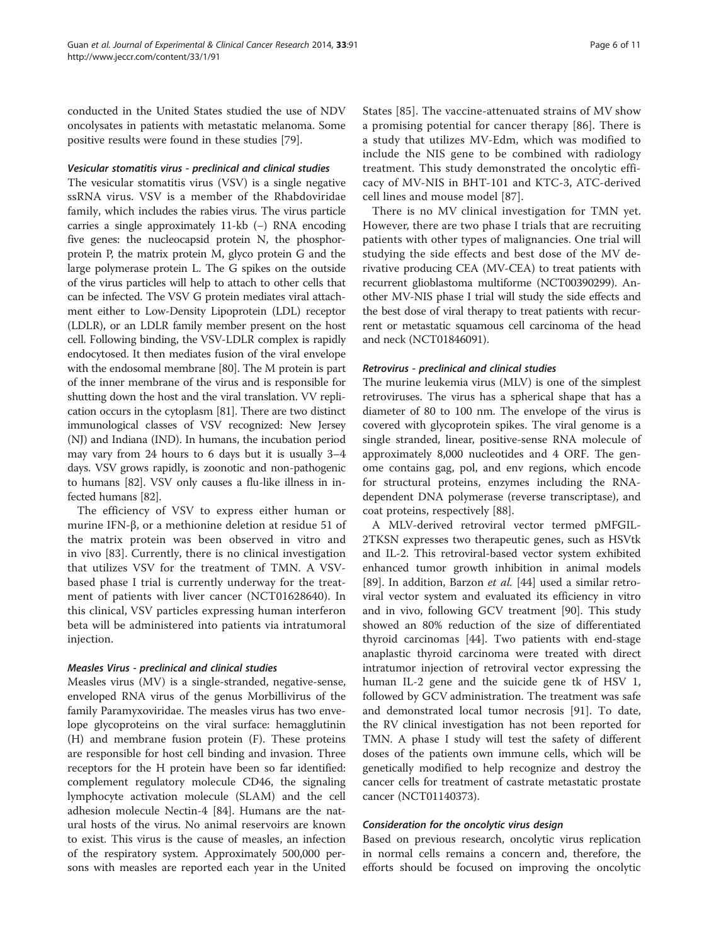conducted in the United States studied the use of NDV oncolysates in patients with metastatic melanoma. Some positive results were found in these studies [\[79\]](#page-9-0).

## Vesicular stomatitis virus - preclinical and clinical studies

The vesicular stomatitis virus (VSV) is a single negative ssRNA virus. VSV is a member of the Rhabdoviridae family, which includes the rabies virus. The virus particle carries a single approximately 11-kb (−) RNA encoding five genes: the nucleocapsid protein N, the phosphorprotein P, the matrix protein M, glyco protein G and the large polymerase protein L. The G spikes on the outside of the virus particles will help to attach to other cells that can be infected. The VSV G protein mediates viral attachment either to Low-Density Lipoprotein (LDL) receptor (LDLR), or an LDLR family member present on the host cell. Following binding, the VSV-LDLR complex is rapidly endocytosed. It then mediates fusion of the viral envelope with the endosomal membrane [[80](#page-9-0)]. The M protein is part of the inner membrane of the virus and is responsible for shutting down the host and the viral translation. VV replication occurs in the cytoplasm [[81](#page-9-0)]. There are two distinct immunological classes of VSV recognized: New Jersey (NJ) and Indiana (IND). In humans, the incubation period may vary from 24 hours to 6 days but it is usually 3–4 days. VSV grows rapidly, is zoonotic and non-pathogenic to humans [[82](#page-9-0)]. VSV only causes a flu-like illness in infected humans [[82](#page-9-0)].

The efficiency of VSV to express either human or murine IFN-β, or a methionine deletion at residue 51 of the matrix protein was been observed in vitro and in vivo [[83\]](#page-9-0). Currently, there is no clinical investigation that utilizes VSV for the treatment of TMN. A VSVbased phase I trial is currently underway for the treatment of patients with liver cancer (NCT01628640). In this clinical, VSV particles expressing human interferon beta will be administered into patients via intratumoral injection.

## Measles Virus - preclinical and clinical studies

Measles virus (MV) is a single-stranded, negative-sense, enveloped RNA virus of the genus Morbillivirus of the family Paramyxoviridae. The measles virus has two envelope glycoproteins on the viral surface: hemagglutinin (H) and membrane fusion protein (F). These proteins are responsible for host cell binding and invasion. Three receptors for the H protein have been so far identified: complement regulatory molecule CD46, the signaling lymphocyte activation molecule (SLAM) and the cell adhesion molecule Nectin-4 [[84\]](#page-9-0). Humans are the natural hosts of the virus. No animal reservoirs are known to exist. This virus is the cause of measles, an infection of the respiratory system. Approximately 500,000 persons with measles are reported each year in the United States [[85\]](#page-9-0). The vaccine-attenuated strains of MV show a promising potential for cancer therapy [\[86\]](#page-9-0). There is a study that utilizes MV-Edm, which was modified to include the NIS gene to be combined with radiology treatment. This study demonstrated the oncolytic efficacy of MV-NIS in BHT-101 and KTC-3, ATC-derived cell lines and mouse model [\[87\]](#page-9-0).

There is no MV clinical investigation for TMN yet. However, there are two phase I trials that are recruiting patients with other types of malignancies. One trial will studying the side effects and best dose of the MV derivative producing CEA (MV-CEA) to treat patients with recurrent glioblastoma multiforme (NCT00390299). Another MV-NIS phase I trial will study the side effects and the best dose of viral therapy to treat patients with recurrent or metastatic squamous cell carcinoma of the head and neck (NCT01846091).

## Retrovirus - preclinical and clinical studies

The murine leukemia virus (MLV) is one of the simplest retroviruses. The virus has a spherical shape that has a diameter of 80 to 100 nm. The envelope of the virus is covered with glycoprotein spikes. The viral genome is a single stranded, linear, positive-sense RNA molecule of approximately 8,000 nucleotides and 4 ORF. The genome contains gag, pol, and env regions, which encode for structural proteins, enzymes including the RNAdependent DNA polymerase (reverse transcriptase), and coat proteins, respectively [\[88\]](#page-9-0).

A MLV-derived retroviral vector termed pMFGIL-2TKSN expresses two therapeutic genes, such as HSVtk and IL-2. This retroviral-based vector system exhibited enhanced tumor growth inhibition in animal models [[89\]](#page-9-0). In addition, Barzon et al. [\[44](#page-8-0)] used a similar retroviral vector system and evaluated its efficiency in vitro and in vivo, following GCV treatment [[90\]](#page-9-0). This study showed an 80% reduction of the size of differentiated thyroid carcinomas [\[44](#page-8-0)]. Two patients with end-stage anaplastic thyroid carcinoma were treated with direct intratumor injection of retroviral vector expressing the human IL-2 gene and the suicide gene tk of HSV 1, followed by GCV administration. The treatment was safe and demonstrated local tumor necrosis [\[91](#page-9-0)]. To date, the RV clinical investigation has not been reported for TMN. A phase I study will test the safety of different doses of the patients own immune cells, which will be genetically modified to help recognize and destroy the cancer cells for treatment of castrate metastatic prostate cancer (NCT01140373).

## Consideration for the oncolytic virus design

Based on previous research, oncolytic virus replication in normal cells remains a concern and, therefore, the efforts should be focused on improving the oncolytic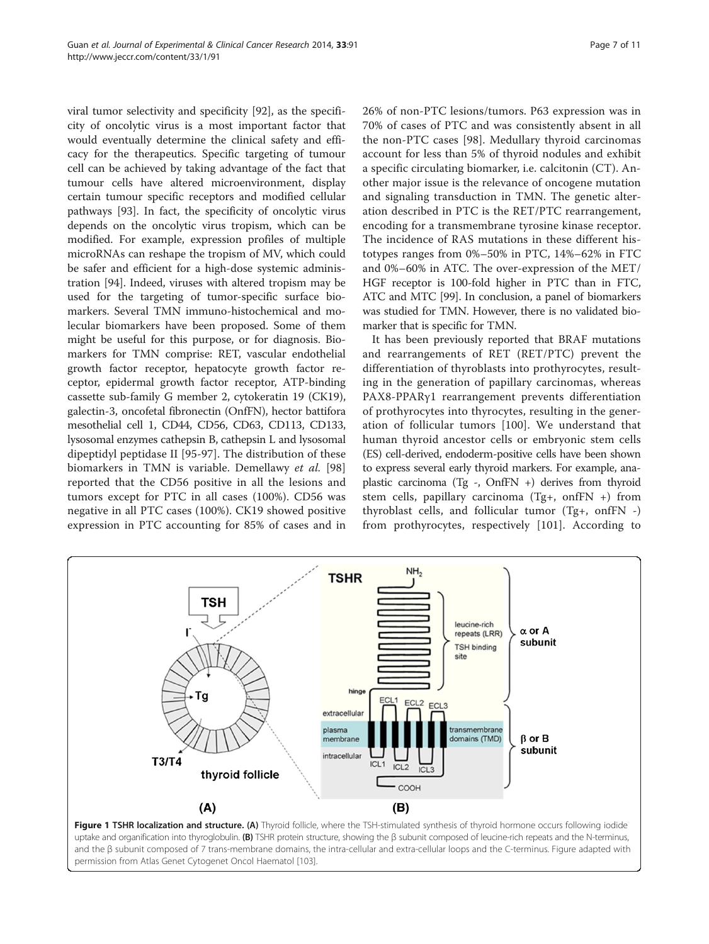<span id="page-6-0"></span>viral tumor selectivity and specificity [[92\]](#page-9-0), as the specificity of oncolytic virus is a most important factor that would eventually determine the clinical safety and efficacy for the therapeutics. Specific targeting of tumour cell can be achieved by taking advantage of the fact that tumour cells have altered microenvironment, display certain tumour specific receptors and modified cellular pathways [[93](#page-9-0)]. In fact, the specificity of oncolytic virus depends on the oncolytic virus tropism, which can be modified. For example, expression profiles of multiple microRNAs can reshape the tropism of MV, which could be safer and efficient for a high-dose systemic administration [[94](#page-9-0)]. Indeed, viruses with altered tropism may be used for the targeting of tumor-specific surface biomarkers. Several TMN immuno-histochemical and molecular biomarkers have been proposed. Some of them might be useful for this purpose, or for diagnosis. Biomarkers for TMN comprise: RET, vascular endothelial growth factor receptor, hepatocyte growth factor receptor, epidermal growth factor receptor, ATP-binding cassette sub-family G member 2, cytokeratin 19 (CK19), galectin-3, oncofetal fibronectin (OnfFN), hector battifora mesothelial cell 1, CD44, CD56, CD63, CD113, CD133, lysosomal enzymes cathepsin B, cathepsin L and lysosomal dipeptidyl peptidase II [[95-97](#page-9-0)]. The distribution of these biomarkers in TMN is variable. Demellawy et al. [\[98](#page-9-0)] reported that the CD56 positive in all the lesions and tumors except for PTC in all cases (100%). CD56 was negative in all PTC cases (100%). CK19 showed positive expression in PTC accounting for 85% of cases and in 26% of non-PTC lesions/tumors. P63 expression was in 70% of cases of PTC and was consistently absent in all the non-PTC cases [\[98](#page-9-0)]. Medullary thyroid carcinomas account for less than 5% of thyroid nodules and exhibit a specific circulating biomarker, i.e. calcitonin (CT). Another major issue is the relevance of oncogene mutation and signaling transduction in TMN. The genetic alteration described in PTC is the RET/PTC rearrangement, encoding for a transmembrane tyrosine kinase receptor. The incidence of RAS mutations in these different histotypes ranges from 0%–50% in PTC, 14%–62% in FTC and 0%–60% in ATC. The over-expression of the MET/ HGF receptor is 100-fold higher in PTC than in FTC, ATC and MTC [[99](#page-9-0)]. In conclusion, a panel of biomarkers was studied for TMN. However, there is no validated biomarker that is specific for TMN.

It has been previously reported that BRAF mutations and rearrangements of RET (RET/PTC) prevent the differentiation of thyroblasts into prothyrocytes, resulting in the generation of papillary carcinomas, whereas PAX8-PPARγ1 rearrangement prevents differentiation of prothyrocytes into thyrocytes, resulting in the generation of follicular tumors [[100\]](#page-10-0). We understand that human thyroid ancestor cells or embryonic stem cells (ES) cell-derived, endoderm-positive cells have been shown to express several early thyroid markers. For example, anaplastic carcinoma (Tg -, OnfFN +) derives from thyroid stem cells, papillary carcinoma (Tg+, onfFN +) from thyroblast cells, and follicular tumor (Tg+, onfFN -) from prothyrocytes, respectively [\[101](#page-10-0)]. According to



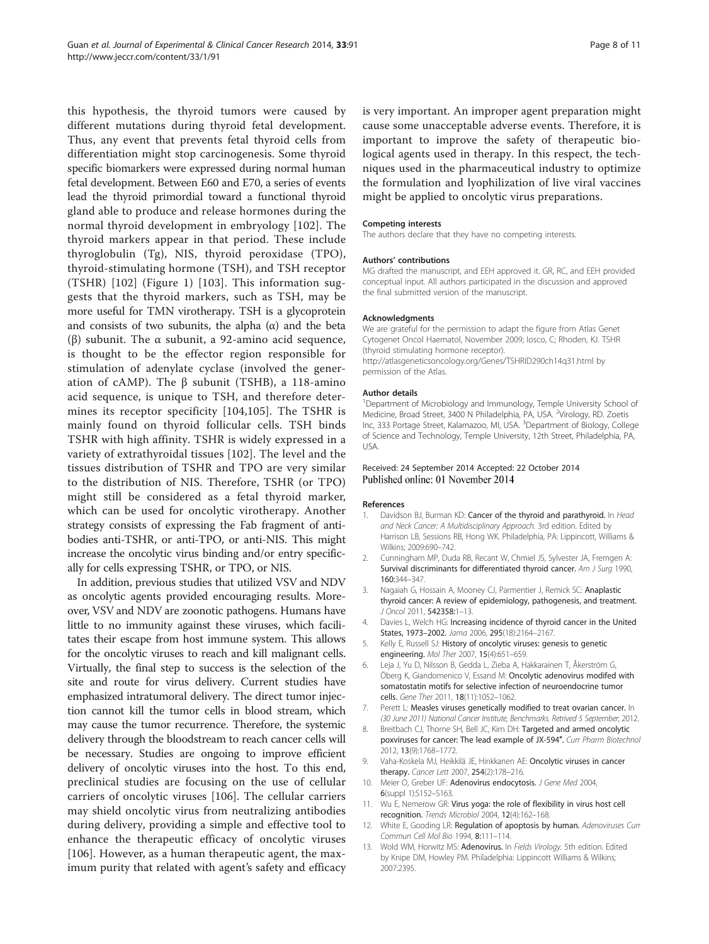<span id="page-7-0"></span>this hypothesis, the thyroid tumors were caused by different mutations during thyroid fetal development. Thus, any event that prevents fetal thyroid cells from differentiation might stop carcinogenesis. Some thyroid specific biomarkers were expressed during normal human fetal development. Between E60 and E70, a series of events lead the thyroid primordial toward a functional thyroid gland able to produce and release hormones during the normal thyroid development in embryology [[102](#page-10-0)]. The thyroid markers appear in that period. These include thyroglobulin (Tg), NIS, thyroid peroxidase (TPO), thyroid-stimulating hormone (TSH), and TSH receptor (TSHR) [[102](#page-10-0)] (Figure [1](#page-6-0)) [[103](#page-10-0)]. This information suggests that the thyroid markers, such as TSH, may be more useful for TMN virotherapy. TSH is a glycoprotein and consists of two subunits, the alpha  $(\alpha)$  and the beta (β) subunit. The α subunit, a 92-amino acid sequence, is thought to be the effector region responsible for stimulation of adenylate cyclase (involved the generation of cAMP). The β subunit (TSHB), a 118-amino acid sequence, is unique to TSH, and therefore determines its receptor specificity [\[104,105](#page-10-0)]. The TSHR is mainly found on thyroid follicular cells. TSH binds TSHR with high affinity. TSHR is widely expressed in a variety of extrathyroidal tissues [\[102](#page-10-0)]. The level and the tissues distribution of TSHR and TPO are very similar to the distribution of NIS. Therefore, TSHR (or TPO) might still be considered as a fetal thyroid marker, which can be used for oncolytic virotherapy. Another strategy consists of expressing the Fab fragment of antibodies anti-TSHR, or anti-TPO, or anti-NIS. This might increase the oncolytic virus binding and/or entry specifically for cells expressing TSHR, or TPO, or NIS.

In addition, previous studies that utilized VSV and NDV as oncolytic agents provided encouraging results. Moreover, VSV and NDV are zoonotic pathogens. Humans have little to no immunity against these viruses, which facilitates their escape from host immune system. This allows for the oncolytic viruses to reach and kill malignant cells. Virtually, the final step to success is the selection of the site and route for virus delivery. Current studies have emphasized intratumoral delivery. The direct tumor injection cannot kill the tumor cells in blood stream, which may cause the tumor recurrence. Therefore, the systemic delivery through the bloodstream to reach cancer cells will be necessary. Studies are ongoing to improve efficient delivery of oncolytic viruses into the host. To this end, preclinical studies are focusing on the use of cellular carriers of oncolytic viruses [[106\]](#page-10-0). The cellular carriers may shield oncolytic virus from neutralizing antibodies during delivery, providing a simple and effective tool to enhance the therapeutic efficacy of oncolytic viruses [[106](#page-10-0)]. However, as a human therapeutic agent, the maximum purity that related with agent's safety and efficacy is very important. An improper agent preparation might cause some unacceptable adverse events. Therefore, it is important to improve the safety of therapeutic biological agents used in therapy. In this respect, the techniques used in the pharmaceutical industry to optimize the formulation and lyophilization of live viral vaccines might be applied to oncolytic virus preparations.

#### Competing interests

The authors declare that they have no competing interests.

#### Authors' contributions

MG drafted the manuscript, and EEH approved it. GR, RC, and EEH provided conceptual input. All authors participated in the discussion and approved the final submitted version of the manuscript.

#### Acknowledgments

We are grateful for the permission to adapt the figure from Atlas Genet Cytogenet Oncol Haematol, November 2009; Iosco, C; Rhoden, KJ. TSHR (thyroid stimulating hormone receptor). <http://atlasgeneticsoncology.org/Genes/TSHRID290ch14q31.html> by permission of the Atlas.

#### Author details

<sup>1</sup>Department of Microbiology and Immunology, Temple University School of Medicine, Broad Street, 3400 N Philadelphia, PA, USA. <sup>2</sup>Virology, RD. Zoetis Inc, 333 Portage Street, Kalamazoo, MI, USA. <sup>3</sup>Department of Biology, College of Science and Technology, Temple University, 12th Street, Philadelphia, PA, USA.

#### Received: 24 September 2014 Accepted: 22 October 2014 Published online: 01 November 2014

#### References

- Davidson BJ, Burman KD: Cancer of the thyroid and parathyroid. In Head and Neck Cancer: A Multidisciplinary Approach. 3rd edition. Edited by Harrison LB, Sessions RB, Hong WK. Philadelphia, PA: Lippincott, Williams & Wilkins; 2009:690–742.
- 2. Cunningham MP, Duda RB, Recant W, Chmiel JS, Sylvester JA, Fremgen A: Survival discriminants for differentiated thyroid cancer. Am J Surg 1990, 160:344–347.
- 3. Nagaiah G, Hossain A, Mooney CJ, Parmentier J, Remick SC: Anaplastic thyroid cancer: A review of epidemiology, pathogenesis, and treatment. J Oncol 2011, 542358:1–13.
- 4. Davies L, Welch HG: Increasing incidence of thyroid cancer in the United States, 1973–2002. Jama 2006, 295(18):2164–2167.
- 5. Kelly E, Russell SJ: History of oncolytic viruses: genesis to genetic engineering. Mol Ther 2007, 15(4):651–659.
- 6. Leja J, Yu D, Nilsson B, Gedda L, Zieba A, Hakkarainen T, Åkerström G, Öberg K, Giandomenico V, Essand M: Oncolytic adenovirus modifed with somatostatin motifs for selective infection of neuroendocrine tumor cells. Gene Ther 2011, 18(11):1052–1062.
- 7. Perett L: Measles viruses genetically modified to treat ovarian cancer. In (30 June 2011) National Cancer Institute, Benchmarks. Retrived 5 September; 2012.
- 8. Breitbach CJ, Thorne SH, Bell JC, Kirn DH: Targeted and armed oncolytic poxviruses for cancer: The lead example of JX-594". Curr Pharm Biotechnol 2012, 13(9):1768–1772.
- 9. Vaha-Koskela MJ, Heikkilä JE, Hinkkanen AE: Oncolytic viruses in cancer therapy. Cancer Lett 2007, 254(2):178–216.
- 10. Meier O, Greber UF: Adenovirus endocytosis. J Gene Med 2004, 6(suppl 1):S152–S163.
- 11. Wu E, Nemerow GR: Virus yoga: the role of flexibility in virus host cell recognition. Trends Microbiol 2004, 12(4):162–168.
- 12. White E, Gooding LR: Regulation of apoptosis by human. Adenoviruses Curr Commun Cell Mol Bio 1994, 8:111–114.
- 13. Wold WM, Horwitz MS: Adenovirus. In Fields Virology. 5th edition. Edited by Knipe DM, Howley PM. Philadelphia: Lippincott Williams & Wilkins; 2007:2395.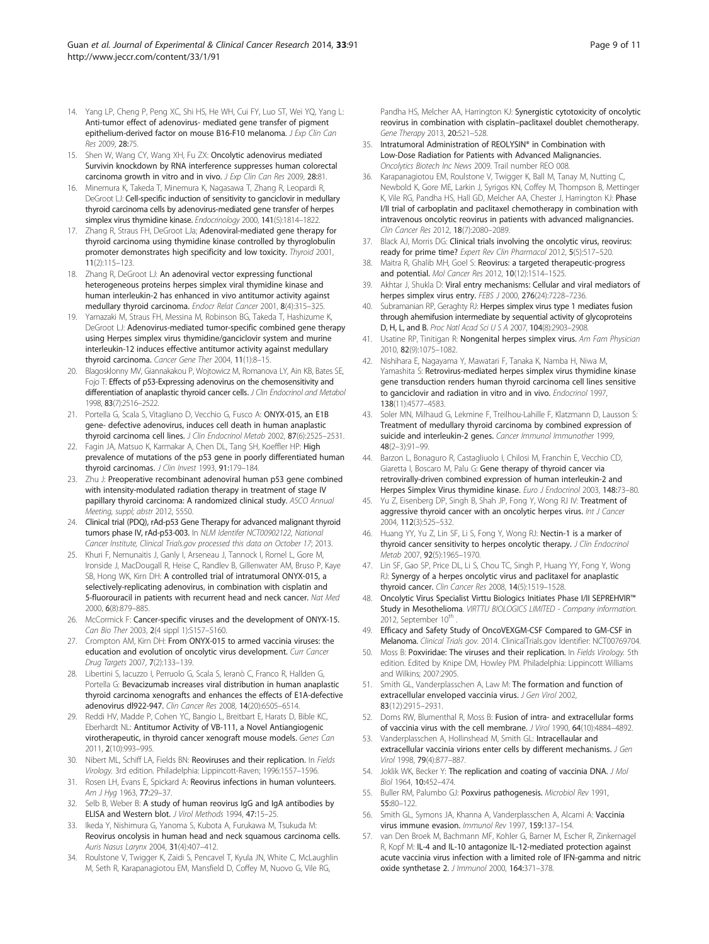- <span id="page-8-0"></span>14. Yang LP, Cheng P, Peng XC, Shi HS, He WH, Cui FY, Luo ST, Wei YQ, Yang L: Anti-tumor effect of adenovirus- mediated gene transfer of pigment epithelium-derived factor on mouse B16-F10 melanoma. J Exp Clin Can Res 2009, 28:75.
- 15. Shen W, Wang CY, Wang XH, Fu ZX: Oncolytic adenovirus mediated Survivin knockdown by RNA interference suppresses human colorectal carcinoma growth in vitro and in vivo. J Exp Clin Can Res 2009, 28:81.
- 16. Minemura K, Takeda T, Minemura K, Nagasawa T, Zhang R, Leopardi R, DeGroot LJ: Cell-specific induction of sensitivity to ganciclovir in medullary thyroid carcinoma cells by adenovirus-mediated gene transfer of herpes simplex virus thymidine kinase. Endocrinology 2000, 141(5):1814–1822.
- 17. Zhang R, Straus FH, DeGroot LJa; Adenoviral-mediated gene therapy for thyroid carcinoma using thymidine kinase controlled by thyroglobulin promoter demonstrates high specificity and low toxicity. Thyroid 2001, 11(2):115–123.
- 18. Zhang R, DeGroot LJ: An adenoviral vector expressing functional heterogeneous proteins herpes simplex viral thymidine kinase and human interleukin-2 has enhanced in vivo antitumor activity against medullary thyroid carcinoma. Endocr Relat Cancer 2001, 8(4):315–325.
- 19. Yamazaki M, Straus FH, Messina M, Robinson BG, Takeda T, Hashizume K, DeGroot LJ: Adenovirus-mediated tumor-specific combined gene therapy using Herpes simplex virus thymidine/ganciclovir system and murine interleukin-12 induces effective antitumor activity against medullary thyroid carcinoma. Cancer Gene Ther 2004, 11(1):8–15.
- 20. Blagosklonny MV, Giannakakou P, Wojtowicz M, Romanova LY, Ain KB, Bates SE, Fojo T: Effects of p53-Expressing adenovirus on the chemosensitivity and differentiation of anaplastic thyroid cancer cells. J Clin Endocrinol and Metabol 1998, 83(7):2516–2522.
- 21. Portella G, Scala S, Vitagliano D, Vecchio G, Fusco A: ONYX-015, an E1B gene- defective adenovirus, induces cell death in human anaplastic thyroid carcinoma cell lines. J Clin Endocrinol Metab 2002, 87(6):2525-2531.
- 22. Fagin JA, Matsuo K, Karmakar A, Chen DL, Tang SH, Koeffler HP: High prevalence of mutations of the p53 gene in poorly differentiated human thyroid carcinomas. J Clin Invest 1993, 91:179-184.
- 23. Zhu J: Preoperative recombinant adenoviral human p53 gene combined with intensity-modulated radiation therapy in treatment of stage IV papillary thyroid carcinoma: A randomized clinical study. ASCO Annual Meeting, suppl; abstr 2012, 5550.
- 24. Clinical trial (PDQ), rAd-p53 Gene Therapy for advanced malignant thyroid tumors phase IV, rAd-p53-003. In NLM Identifer NCT00902122, National Cancer Institute, Clinical Trials.gov processed this data on October 17; 2013.
- 25. Khuri F, Nemunaitis J, Ganly I, Arseneau J, Tannock I, Romel L, Gore M, Ironside J, MacDougall R, Heise C, Randlev B, Gillenwater AM, Bruso P, Kaye SB, Hong WK, Kirn DH: A controlled trial of intratumoral ONYX-015, a selectively-replicating adenovirus, in combination with cisplatin and 5-fluorouracil in patients with recurrent head and neck cancer. Nat Med 2000, 6(8):879–885.
- 26. McCormick F: Cancer-specific viruses and the development of ONYX-15. Can Bio Ther 2003, 2(4 sippl 1):S157–S160.
- 27. Crompton AM, Kirn DH: From ONYX-015 to armed vaccinia viruses: the education and evolution of oncolytic virus development. Curr Cancer Drug Targets 2007, 7(2):133–139.
- 28. Libertini S, Iacuzzo I, Perruolo G, Scala S, Ieranò C, Franco R, Hallden G, Portella G: Bevacizumab increases viral distribution in human anaplastic thyroid carcinoma xenografts and enhances the effects of E1A-defective adenovirus dl922-947. Clin Cancer Res 2008, 14(20):6505–6514.
- 29. Reddi HV, Madde P, Cohen YC, Bangio L, Breitbart E, Harats D, Bible KC, Eberhardt NL: Antitumor Activity of VB-111, a Novel Antiangiogenic virotherapeutic, in thyroid cancer xenograft mouse models. Genes Can 2011, 2(10):993–995.
- 30. Nibert ML, Schiff LA, Fields BN: Reoviruses and their replication. In Fields Virology. 3rd edition. Philadelphia: Lippincott-Raven; 1996:1557–1596.
- 31. Rosen LH, Evans E, Spickard A: Reovirus infections in human volunteers. Am J Hyg 1963, 77:29-37.
- 32. Selb B, Weber B: A study of human reovirus IgG and IgA antibodies by ELISA and Western blot. J Virol Methods 1994, 47:15–25.
- 33. Ikeda Y, Nishimura G, Yanoma S, Kubota A, Furukawa M, Tsukuda M: Reovirus oncolysis in human head and neck squamous carcinoma cells. Auris Nasus Larynx 2004, 31(4):407–412.
- 34. Roulstone V, Twigger K, Zaidi S, Pencavel T, Kyula JN, White C, McLaughlin M, Seth R, Karapanagiotou EM, Mansfield D, Coffey M, Nuovo G, Vile RG,

Pandha HS, Melcher AA, Harrington KJ: Synergistic cytotoxicity of oncolytic reovirus in combination with cisplatin–paclitaxel doublet chemotherapy. Gene Therapy 2013, 20:521–528.

- 35. Intratumoral Administration of REOLYSIN® in Combination with Low-Dose Radiation for Patients with Advanced Malignancies. Oncolytics Biotech Inc News 2009. Trail number REO 008.
- 36. Karapanagiotou EM, Roulstone V, Twigger K, Ball M, Tanay M, Nutting C, Newbold K, Gore ME, Larkin J, Syrigos KN, Coffey M, Thompson B, Mettinger K, Vile RG, Pandha HS, Hall GD, Melcher AA, Chester J, Harrington KJ: Phase I/II trial of carboplatin and paclitaxel chemotherapy in combination with intravenous oncolytic reovirus in patients with advanced malignancies. Clin Cancer Res 2012, 18(7):2080–2089.
- 37. Black AJ, Morris DG: Clinical trials involving the oncolytic virus, reovirus: ready for prime time? Expert Rev Clin Pharmacol 2012, 5(5):517–520.
- 38. Maitra R, Ghalib MH, Goel S: Reovirus: a targeted therapeutic-progress and potential. Mol Cancer Res 2012, 10(12):1514–1525.
- 39. Akhtar J, Shukla D: Viral entry mechanisms: Cellular and viral mediators of herpes simplex virus entry. FEBS J 2000, 276(24):7228–7236.
- 40. Subramanian RP, Geraghty RJ: Herpes simplex virus type 1 mediates fusion through ahemifusion intermediate by sequential activity of glycoproteins D, H, L, and B. Proc Natl Acad Sci U S A 2007, 104(8):2903–2908.
- 41. Usatine RP, Tinitigan R: Nongenital herpes simplex virus. Am Fam Physician 2010, 82(9):1075–1082.
- 42. Nishihara E, Nagayama Y, Mawatari F, Tanaka K, Namba H, Niwa M, Yamashita S: Retrovirus-mediated herpes simplex virus thymidine kinase gene transduction renders human thyroid carcinoma cell lines sensitive to ganciclovir and radiation in vitro and in vivo. Endocrinol 1997, 138(11):4577–4583.
- 43. Soler MN, Milhaud G, Lekmine F, Treilhou-Lahille F, Klatzmann D, Lausson S: Treatment of medullary thyroid carcinoma by combined expression of suicide and interleukin-2 genes. Cancer Immunol Immunother 1999, 48(2–3):91–99.
- 44. Barzon L, Bonaguro R, Castagliuolo I, Chilosi M, Franchin E, Vecchio CD, Giaretta I, Boscaro M, Palu G: Gene therapy of thyroid cancer via retrovirally-driven combined expression of human interleukin-2 and Herpes Simplex Virus thymidine kinase. Euro J Endocrinol 2003, 148:73-80.
- 45. Yu Z, Eisenberg DP, Singh B, Shah JP, Fong Y, Wong RJ IV: Treatment of aggressive thyroid cancer with an oncolytic herpes virus. Int J Cancer 2004, 112(3):525–532.
- 46. Huang YY, Yu Z, Lin SF, Li S, Fong Y, Wong RJ: Nectin-1 is a marker of thyroid cancer sensitivity to herpes oncolytic therapy. J Clin Endocrinol Metab 2007, 92(5):1965–1970.
- 47. Lin SF, Gao SP, Price DL, Li S, Chou TC, Singh P, Huang YY, Fong Y, Wong RJ: Synergy of a herpes oncolytic virus and paclitaxel for anaplastic thyroid cancer. Clin Cancer Res 2008, 14(5):1519–1528.
- 48. Oncolytic Virus Specialist Virttu Biologics Initiates Phase I/II SEPREHVIR™ Study in Mesothelioma. VIRTTU BIOLOGICS LIMITED - Company information. 2012, September 10<sup>th</sup>
- 49. Efficacy and Safety Study of OncoVEXGM-CSF Compared to GM-CSF in Melanoma. Clinical Trials gov. 2014. ClinicalTrials.gov Identifier: NCT00769704.
- 50. Moss B: Poxviridae: The viruses and their replication. In Fields Virology. 5th edition. Edited by Knipe DM, Howley PM. Philadelphia: Lippincott Williams and Wilkins; 2007:2905.
- 51. Smith GL, Vanderplasschen A, Law M: The formation and function of extracellular enveloped vaccinia virus. J Gen Virol 2002, 83(12):2915–2931.
- 52. Doms RW, Blumenthal R, Moss B: Fusion of intra- and extracellular forms of vaccinia virus with the cell membrane. J Virol 1990, 64(10):4884–4892.
- 53. Vanderplasschen A, Hollinshead M, Smith GL: Intracellaular and extracellular vaccinia virions enter cells by different mechanisms. J Gen Virol 1998, 79(4):877–887.
- 54. Joklik WK, Becker Y: The replication and coating of vaccinia DNA. J Mol Biol 1964, 10:452–474.
- 55. Buller RM, Palumbo GJ: Poxvirus pathogenesis. Microbiol Rev 1991, 55:80–122.
- 56. Smith GL, Symons JA, Khanna A, Vanderplasschen A, Alcami A: Vaccinia virus immune evasion. Immunol Rev 1997, 159:137–154.
- 57. van Den Broek M, Bachmann MF, Kohler G, Barner M, Escher R, Zinkernagel R, Kopf M: IL-4 and IL-10 antagonize IL-12-mediated protection against acute vaccinia virus infection with a limited role of IFN-gamma and nitric oxide synthetase 2. J Immunol 2000, 164:371-378.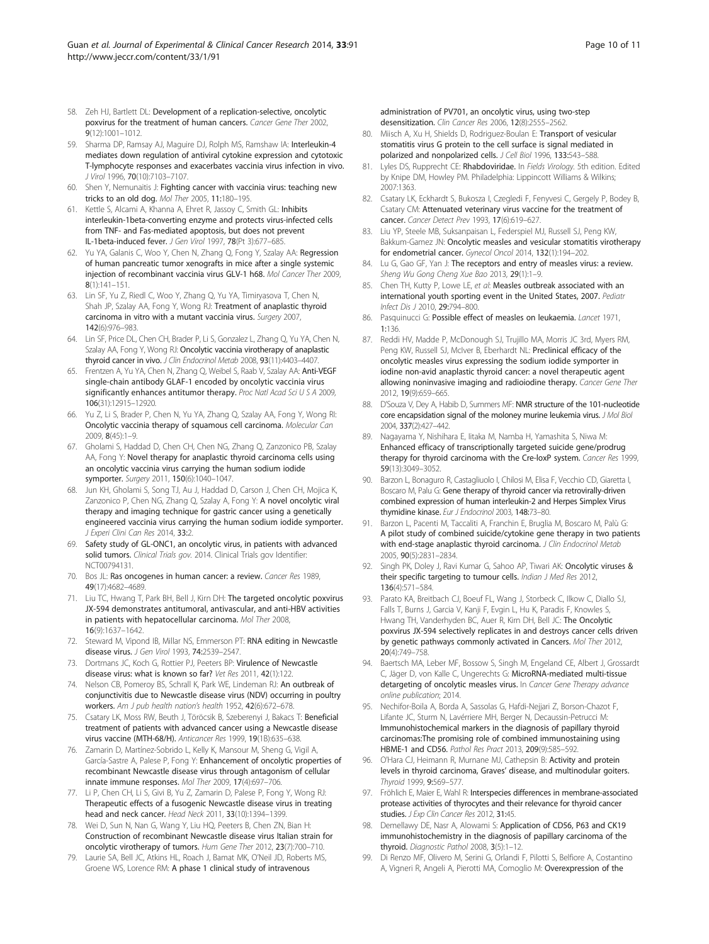- <span id="page-9-0"></span>59. Sharma DP, Ramsay AJ, Maguire DJ, Rolph MS, Ramshaw IA: Interleukin-4 mediates down regulation of antiviral cytokine expression and cytotoxic T-lymphocyte responses and exacerbates vaccinia virus infection in vivo. J Virol 1996, 70(10):7103–7107.
- 60. Shen Y, Nemunaitis J: Fighting cancer with vaccinia virus: teaching new tricks to an old dog. Mol Ther 2005, 11:180–195.
- 61. Kettle S, Alcami A, Khanna A, Ehret R, Jassoy C, Smith GL: Inhibits interleukin-1beta-converting enzyme and protects virus-infected cells from TNF- and Fas-mediated apoptosis, but does not prevent IL-1beta-induced fever. J Gen Virol 1997, 78(Pt 3):677–685.
- 62. Yu YA, Galanis C, Woo Y, Chen N, Zhang Q, Fong Y, Szalay AA: Regression of human pancreatic tumor xenografts in mice after a single systemic injection of recombinant vaccinia virus GLV-1 h68. Mol Cancer Ther 2009, 8(1):141–151.
- 63. Lin SF, Yu Z, Riedl C, Woo Y, Zhang Q, Yu YA, Timiryasova T, Chen N, Shah JP, Szalay AA, Fong Y, Wong RJ: Treatment of anaplastic thyroid carcinoma in vitro with a mutant vaccinia virus. Surgery 2007, 142(6):976–983.
- 64. Lin SF, Price DL, Chen CH, Brader P, Li S, Gonzalez L, Zhang Q, Yu YA, Chen N, Szalay AA, Fong Y, Wong RJ: Oncolytic vaccinia virotherapy of anaplastic thyroid cancer in vivo. J Clin Endocrinol Metab 2008, 93(11):4403-4407.
- 65. Frentzen A, Yu YA, Chen N, Zhang Q, Weibel S, Raab V, Szalay AA: Anti-VEGF single-chain antibody GLAF-1 encoded by oncolytic vaccinia virus significantly enhances antitumor therapy. Proc Natl Acad Sci U S A 2009, 106(31):12915–12920.
- 66. Yu Z, Li S, Brader P, Chen N, Yu YA, Zhang Q, Szalay AA, Fong Y, Wong RI: Oncolytic vaccinia therapy of squamous cell carcinoma. Molecular Can 2009, 8(45):1–9.
- 67. Gholami S, Haddad D, Chen CH, Chen NG, Zhang Q, Zanzonico PB, Szalay AA, Fong Y: Novel therapy for anaplastic thyroid carcinoma cells using an oncolytic vaccinia virus carrying the human sodium iodide symporter. Surgery 2011, 150(6):1040-1047.
- 68. Jun KH, Gholami S, Song TJ, Au J, Haddad D, Carson J, Chen CH, Mojica K, Zanzonico P, Chen NG, Zhang Q, Szalay A, Fong Y: A novel oncolytic viral therapy and imaging technique for gastric cancer using a genetically engineered vaccinia virus carrying the human sodium iodide symporter. J Experi Clini Can Res 2014, 33:2.
- 69. Safety study of GL-ONC1, an oncolytic virus, in patients with advanced solid tumors. Clinical Trials gov. 2014. Clinical Trials gov Identifier: NCT00794131.
- 70. Bos JL: Ras oncogenes in human cancer: a review. Cancer Res 1989, 49(17):4682–4689.
- 71. Liu TC, Hwang T, Park BH, Bell J, Kirn DH: The targeted oncolytic poxvirus JX-594 demonstrates antitumoral, antivascular, and anti-HBV activities in patients with hepatocellular carcinoma. Mol Ther 2008, 16(9):1637–1642.
- 72. Steward M, Vipond IB, Millar NS, Emmerson PT: RNA editing in Newcastle disease virus. J Gen Virol 1993, 74:2539–2547.
- 73. Dortmans JC, Koch G, Rottier PJ, Peeters BP: Virulence of Newcastle disease virus: what is known so far? Vet Res 2011, 42(1):122.
- 74. Nelson CB, Pomeroy BS, Schrall K, Park WE, Lindeman RJ: An outbreak of conjunctivitis due to Newcastle disease virus (NDV) occurring in poultry workers. Am J pub health nation's health 1952, 42(6):672–678.
- 75. Csatary LK, Moss RW, Beuth J, Töröcsik B, Szeberenyi J, Bakacs T: Beneficial treatment of patients with advanced cancer using a Newcastle disease virus vaccine (MTH-68/H). Anticancer Res 1999, 19(1B):635–638.
- 76. Zamarin D, Martínez-Sobrido L, Kelly K, Mansour M, Sheng G, Vigil A, García-Sastre A, Palese P, Fong Y: Enhancement of oncolytic properties of recombinant Newcastle disease virus through antagonism of cellular innate immune responses. Mol Ther 2009, 17(4):697–706.
- 77. Li P, Chen CH, Li S, Givi B, Yu Z, Zamarin D, Palese P, Fong Y, Wong RJ: Therapeutic effects of a fusogenic Newcastle disease virus in treating head and neck cancer. Head Neck 2011, 33(10):1394–1399.
- 78. Wei D, Sun N, Nan G, Wang Y, Liu HQ, Peeters B, Chen ZN, Bian H: Construction of recombinant Newcastle disease virus Italian strain for oncolytic virotherapy of tumors. Hum Gene Ther 2012, 23(7):700–710.
- 79. Laurie SA, Bell JC, Atkins HL, Roach J, Bamat MK, O'Neil JD, Roberts MS, Groene WS, Lorence RM: A phase 1 clinical study of intravenous

administration of PV701, an oncolytic virus, using two-step desensitization. Clin Cancer Res 2006, 12(8):2555–2562.

- 80. Miisch A, Xu H, Shields D, Rodriguez-Boulan E: Transport of vesicular stomatitis virus G protein to the cell surface is signal mediated in polarized and nonpolarized cells. J Cell Biol 1996, 133:543-588.
- 81. Lyles DS, Rupprecht CE: Rhabdoviridae. In Fields Virology. 5th edition. Edited by Knipe DM, Howley PM. Philadelphia: Lippincott Williams & Wilkins; 2007:1363.
- 82. Csatary LK, Eckhardt S, Bukosza I, Czegledi F, Fenyvesi C, Gergely P, Bodey B, Csatary CM: Attenuated veterinary virus vaccine for the treatment of cancer. Cancer Detect Prev 1993, 17(6):619–627.
- 83. Liu YP, Steele MB, Suksanpaisan L, Federspiel MJ, Russell SJ, Peng KW, Bakkum-Gamez JN: Oncolytic measles and vesicular stomatitis virotherapy for endometrial cancer. Gynecol Oncol 2014, 132(1):194–202.
- Lu G, Gao GF, Yan J: The receptors and entry of measles virus: a review. Sheng Wu Gong Cheng Xue Bao 2013, 29(1):1–9.
- 85. Chen TH, Kutty P, Lowe LE, et al: Measles outbreak associated with an international youth sporting event in the United States, 2007. Pediatr Infect Dis J 2010, 29:794–800.
- 86. Pasquinucci G: Possible effect of measles on leukaemia. Lancet 1971, 1:136.
- 87. Reddi HV, Madde P, McDonough SJ, Trujillo MA, Morris JC 3rd, Myers RM, Peng KW, Russell SJ, McIver B, Eberhardt NL: Preclinical efficacy of the oncolytic measles virus expressing the sodium iodide symporter in iodine non-avid anaplastic thyroid cancer: a novel therapeutic agent allowing noninvasive imaging and radioiodine therapy. Cancer Gene Ther 2012, 19(9):659–665.
- 88. D'Souza V, Dey A, Habib D, Summers MF: NMR structure of the 101-nucleotide core encapsidation signal of the moloney murine leukemia virus. J Mol Biol 2004, 337(2):427–442.
- 89. Nagayama Y, Nishihara E, Iitaka M, Namba H, Yamashita S, Niwa M: Enhanced efficacy of transcriptionally targeted suicide gene/prodrug therapy for thyroid carcinoma with the Cre-loxP system. Cancer Res 1999, 59(13):3049–3052.
- 90. Barzon L, Bonaguro R, Castagliuolo I, Chilosi M, Elisa F, Vecchio CD, Giaretta I, Boscaro M, Palu G: Gene therapy of thyroid cancer via retrovirally-driven combined expression of human interleukin-2 and Herpes Simplex Virus thymidine kinase. Eur J Endocrinol 2003, 148:73-80.
- 91. Barzon L, Pacenti M, Taccaliti A, Franchin E, Bruglia M, Boscaro M, Palù G: A pilot study of combined suicide/cytokine gene therapy in two patients with end-stage anaplastic thyroid carcinoma. J Clin Endocrinol Metab 2005, 90(5):2831–2834.
- 92. Singh PK, Doley J, Ravi Kumar G, Sahoo AP, Tiwari AK: Oncolytic viruses & their specific targeting to tumour cells. Indian J Med Res 2012, 136(4):571–584.
- 93. Parato KA, Breitbach CJ, Boeuf FL, Wang J, Storbeck C, Ilkow C, Diallo SJ, Falls T, Burns J, Garcia V, Kanji F, Evgin L, Hu K, Paradis F, Knowles S, Hwang TH, Vanderhyden BC, Auer R, Kirn DH, Bell JC: The Oncolytic poxvirus JX-594 selectively replicates in and destroys cancer cells driven by genetic pathways commonly activated in Cancers. Mol Ther 2012, 20(4):749–758.
- 94. Baertsch MA, Leber MF, Bossow S, Singh M, Engeland CE, Albert J, Grossardt C, Jäger D, von Kalle C, Ungerechts G: MicroRNA-mediated multi-tissue detargeting of oncolytic measles virus. In Cancer Gene Therapy advance online publication; 2014.
- 95. Nechifor-Boila A, Borda A, Sassolas G, Hafdi-Nejjari Z, Borson-Chazot F, Lifante JC, Sturm N, Lavérriere MH, Berger N, Decaussin-Petrucci M: Immunohistochemical markers in the diagnosis of papillary thyroid carcinomas:The promising role of combined immunostaining using HBME-1 and CD56. Pathol Res Pract 2013, 209(9):585–592.
- 96. O'Hara CJ, Heimann R, Murnane MJ, Cathepsin B: Activity and protein levels in thyroid carcinoma, Graves' disease, and multinodular goiters. Thyroid 1999, 9:569–577.
- 97. Fröhlich E, Maier E, Wahl R: Interspecies differences in membrane-associated protease activities of thyrocytes and their relevance for thyroid cancer studies. J Exp Clin Cancer Res 2012, 31:45.
- 98. Demellawy DE, Nasr A, Alowami S: Application of CD56, P63 and CK19 immunohistochemistry in the diagnosis of papillary carcinoma of the thyroid. Diagnostic Pathol 2008, 3(5):1-12.
- 99. Di Renzo MF, Olivero M, Serini G, Orlandi F, Pilotti S, Belfiore A, Costantino A, Vigneri R, Angeli A, Pierotti MA, Comoglio M: Overexpression of the